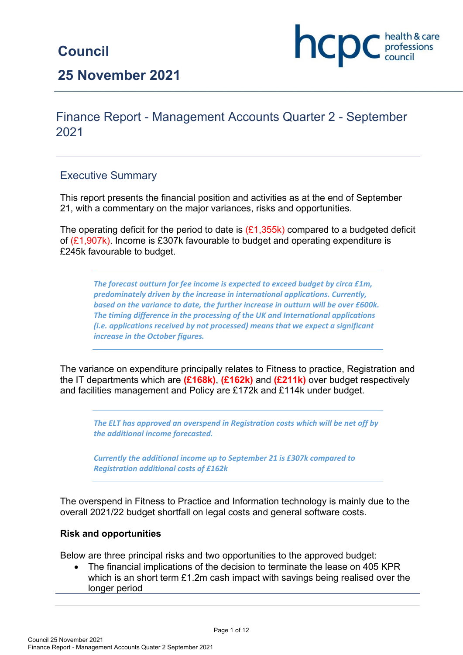# **Council**

**25 November 2021**

## Finance Report - Management Accounts Quarter 2 - September 2021

## Executive Summary

This report presents the financial position and activities as at the end of September 21, with a commentary on the major variances, risks and opportunities.

The operating deficit for the period to date is  $(E1,355k)$  compared to a budgeted deficit of (£1,907k). Income is £307k favourable to budget and operating expenditure is £245k favourable to budget.

*The forecast outturn for fee income is expected to exceed budget by circa £1m, predominately driven by the increase in international applications. Currently, based on the variance to date, the further increase in outturn will be over £600k. The timing difference in the processing of the UK and International applications (i.e. applications received by not processed) means that we expect a significant increase in the October figures.* 

The variance on expenditure principally relates to Fitness to practice, Registration and the IT departments which are **(£168k)**, **(£162k)** and **(£211k)** over budget respectively and facilities management and Policy are £172k and £114k under budget.

*The ELT has approved an overspend in Registration costs which will be net off by the additional income forecasted.*

*Currently the additional income up to September 21 is £307k compared to Registration additional costs of £162k* 

The overspend in Fitness to Practice and Information technology is mainly due to the overall 2021/22 budget shortfall on legal costs and general software costs.

### **Risk and opportunities**

Below are three principal risks and two opportunities to the approved budget:

• The financial implications of the decision to terminate the lease on 405 KPR which is an short term £1.2m cash impact with savings being realised over the longer period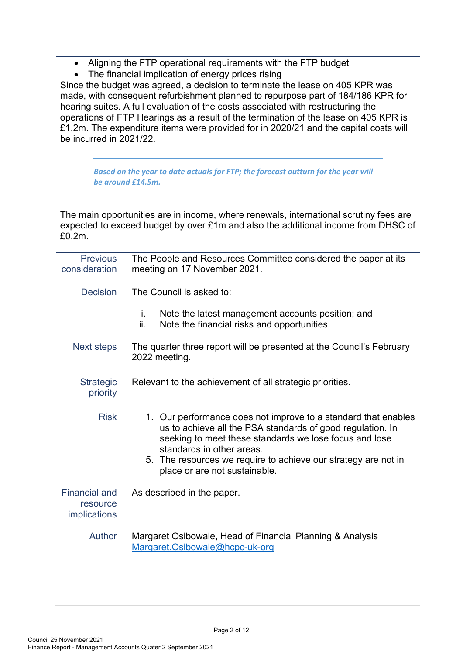- Aligning the FTP operational requirements with the FTP budget
- The financial implication of energy prices rising

Since the budget was agreed, a decision to terminate the lease on 405 KPR was made, with consequent refurbishment planned to repurpose part of 184/186 KPR for hearing suites. A full evaluation of the costs associated with restructuring the operations of FTP Hearings as a result of the termination of the lease on 405 KPR is £1.2m. The expenditure items were provided for in 2020/21 and the capital costs will be incurred in 2021/22.

*Based on the year to date actuals for FTP; the forecast outturn for the year will be around £14.5m.*

The main opportunities are in income, where renewals, international scrutiny fees are expected to exceed budget by over £1m and also the additional income from DHSC of £0.2m.

| <b>Previous</b><br>consideration                 | The People and Resources Committee considered the paper at its<br>meeting on 17 November 2021.                                                                                                                      |
|--------------------------------------------------|---------------------------------------------------------------------------------------------------------------------------------------------------------------------------------------------------------------------|
| <b>Decision</b>                                  | The Council is asked to:                                                                                                                                                                                            |
|                                                  | Note the latest management accounts position; and<br>İ.<br>ii.<br>Note the financial risks and opportunities.                                                                                                       |
| Next steps                                       | The quarter three report will be presented at the Council's February<br>2022 meeting.                                                                                                                               |
| <b>Strategic</b><br>priority                     | Relevant to the achievement of all strategic priorities.                                                                                                                                                            |
| <b>Risk</b>                                      | 1. Our performance does not improve to a standard that enables<br>us to achieve all the PSA standards of good regulation. In<br>seeking to meet these standards we lose focus and lose<br>standards in other areas. |
|                                                  | 5. The resources we require to achieve our strategy are not in<br>place or are not sustainable.                                                                                                                     |
| <b>Financial and</b><br>resource<br>implications | As described in the paper.                                                                                                                                                                                          |
| Author                                           | Margaret Osibowale, Head of Financial Planning & Analysis<br>Margaret.Osibowale@hcpc-uk-org                                                                                                                         |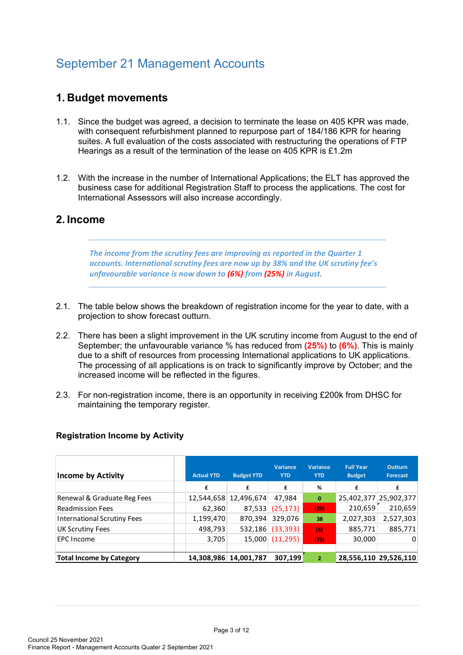# September 21 Management Accounts

## **1. Budget movements**

- 1.1. Since the budget was agreed, a decision to terminate the lease on 405 KPR was made, with consequent refurbishment planned to repurpose part of 184/186 KPR for hearing suites. A full evaluation of the costs associated with restructuring the operations of FTP Hearings as a result of the termination of the lease on 405 KPR is £1.2m
- 1.2. With the increase in the number of International Applications; the ELT has approved the business case for additional Registration Staff to process the applications. The cost for International Assessors will also increase accordingly.

## **2. Income**

*The income from the scrutiny fees are improving as reported in the Quarter 1 accounts. International scrutiny fees are now up by 38% and the UK scrutiny fee's unfavourable variance is now down to (6%) from (25%) in August.*

- 2.1. The table below shows the breakdown of registration income for the year to date, with a projection to show forecast outturn.
- 2.2. There has been a slight improvement in the UK scrutiny income from August to the end of September; the unfavourable variance % has reduced from **(25%)** to **(6%)**. This is mainly due to a shift of resources from processing International applications to UK applications. The processing of all applications is on track to significantly improve by October; and the increased income will be reflected in the figures.
- 2.3. For non-registration income, there is an opportunity in receiving £200k from DHSC for maintaining the temporary register.

#### **Registration Income by Activity**

| <b>Income by Activity</b>          | <b>Actual YTD</b> | <b>Budget YTD</b>     | <b>Variance</b><br><b>YTD</b> | <b>Variance</b><br><b>YTD</b> | <b>Full Year</b><br><b>Budget</b> | <b>Outturn</b><br><b>Forecast</b> |
|------------------------------------|-------------------|-----------------------|-------------------------------|-------------------------------|-----------------------------------|-----------------------------------|
|                                    | £                 | £                     | £                             | %                             | £                                 | £                                 |
| Renewal & Graduate Reg Fees        |                   | 12,544,658 12,496,674 | 47,984                        | $\mathbf{0}$                  |                                   | 25,402,377 25,902,377             |
| <b>Readmission Fees</b>            | 62,360            | 87,533                | (25, 173)                     | (29)                          | 210,659                           | 210,659                           |
| <b>International Scrutiny Fees</b> | 1,199,470         | 870,394               | 329,076                       | 38                            | 2,027,303                         | 2,527,303                         |
| <b>UK Scrutiny Fees</b>            | 498,793           | 532,186               | (33, 393)                     | (6)                           | 885,771                           | 885,771                           |
| <b>EPC</b> Income                  | 3,705             | 15,000                | (11, 295)                     | (75)                          | 30,000                            | 0                                 |
|                                    |                   |                       |                               |                               |                                   |                                   |
| <b>Total Income by Category</b>    | 14.308.986        | 14,001,787            | 307,199                       | $\overline{2}$                |                                   | 28,556,110 29,526,110             |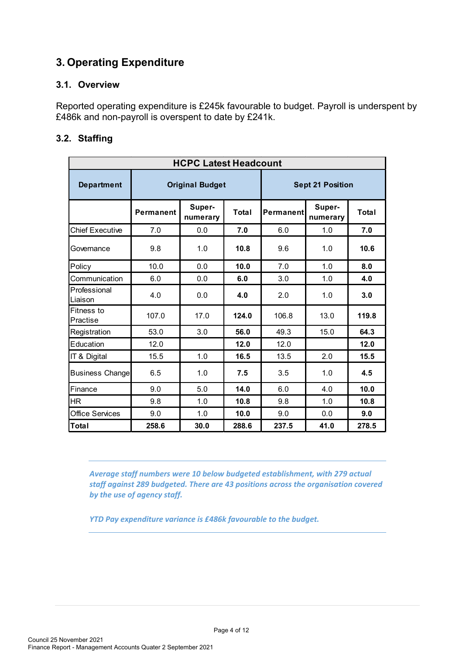## **3. Operating Expenditure**

### **3.1. Overview**

Reported operating expenditure is £245k favourable to budget. Payroll is underspent by £486k and non-payroll is overspent to date by £241k.

## **3.2. Staffing**

| <b>HCPC Latest Headcount</b> |           |                        |                         |                  |                    |              |  |  |  |
|------------------------------|-----------|------------------------|-------------------------|------------------|--------------------|--------------|--|--|--|
| <b>Department</b>            |           | <b>Original Budget</b> | <b>Sept 21 Position</b> |                  |                    |              |  |  |  |
|                              | Permanent | Super-<br>numerary     | Total                   | <b>Permanent</b> | Super-<br>numerary | <b>Total</b> |  |  |  |
| <b>Chief Executive</b>       | 7.0       | 0.0                    | 7.0                     | 6.0              | 1.0                | 7.0          |  |  |  |
| Governance                   | 9.8       | 1.0                    | 10.8                    | 9.6              | 1.0                | 10.6         |  |  |  |
| Policy                       | 10.0      | 0.0                    | 10.0                    | 7.0              | 1.0                | 8.0          |  |  |  |
| Communication                | 6.0       | 0.0                    | 6.0                     | 3.0              | 1.0                | 4.0          |  |  |  |
| Professional<br>Liaison      | 4.0       | 0.0                    | 4.0                     | 2.0              | 1.0                | 3.0          |  |  |  |
| Fitness to<br>Practise       | 107.0     | 17.0                   | 124.0                   | 106.8            | 13.0               | 119.8        |  |  |  |
| Registration                 | 53.0      | 3.0                    | 56.0                    | 49.3             | 15.0               | 64.3         |  |  |  |
| Education                    | 12.0      |                        | 12.0                    | 12.0             |                    | 12.0         |  |  |  |
| IT & Digital                 | 15.5      | 1.0                    | 16.5                    | 13.5             | 2.0                | 15.5         |  |  |  |
| <b>Business Change</b>       | 6.5       | 1.0                    | 7.5                     | 3.5              | 1.0                | 4.5          |  |  |  |
| Finance                      | 9.0       | 5.0                    | 14.0                    | 6.0              | 4.0                | 10.0         |  |  |  |
| <b>HR</b>                    | 9.8       | 1.0                    | 10.8                    | 9.8              | 1.0                | 10.8         |  |  |  |
| <b>Office Services</b>       | 9.0       | 1.0                    | 10.0                    | 9.0              | 0.0                | 9.0          |  |  |  |
| Total                        | 258.6     | 30.0                   | 288.6                   | 237.5            | 41.0               | 278.5        |  |  |  |

*Average staff numbers were 10 below budgeted establishment, with 279 actual staff against 289 budgeted. There are 43 positions across the organisation covered by the use of agency staff.* 

*YTD Pay expenditure variance is £486k favourable to the budget.*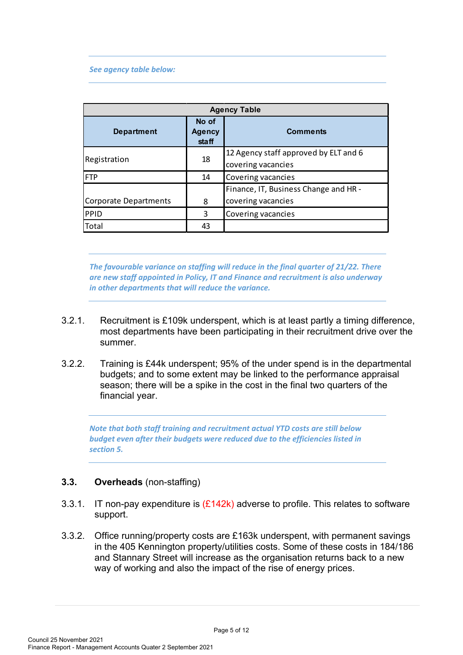#### *See agency table below:*

| <b>Agency Table</b>   |                                 |                                                             |  |  |  |  |
|-----------------------|---------------------------------|-------------------------------------------------------------|--|--|--|--|
| <b>Department</b>     | No of<br><b>Agency</b><br>staff | <b>Comments</b>                                             |  |  |  |  |
| Registration          | 18                              | 12 Agency staff approved by ELT and 6<br>covering vacancies |  |  |  |  |
| <b>IFTP</b>           | 14                              | Covering vacancies                                          |  |  |  |  |
| Corporate Departments | 8                               | Finance, IT, Business Change and HR -<br>covering vacancies |  |  |  |  |
| PPID                  | 3                               | Covering vacancies                                          |  |  |  |  |
| Total                 | 43                              |                                                             |  |  |  |  |

*The favourable variance on staffing will reduce in the final quarter of 21/22. There are new staff appointed in Policy, IT and Finance and recruitment is also underway in other departments that will reduce the variance.*

- 3.2.1. Recruitment is £109k underspent, which is at least partly a timing difference, most departments have been participating in their recruitment drive over the summer.
- 3.2.2. Training is £44k underspent; 95% of the under spend is in the departmental budgets; and to some extent may be linked to the performance appraisal season; there will be a spike in the cost in the final two quarters of the financial year.

*Note that both staff training and recruitment actual YTD costs are still below budget even after their budgets were reduced due to the efficiencies listed in section 5.*

#### **3.3. Overheads** (non-staffing)

- 3.3.1. IT non-pay expenditure is  $(E142k)$  adverse to profile. This relates to software support.
- 3.3.2. Office running/property costs are £163k underspent, with permanent savings in the 405 Kennington property/utilities costs. Some of these costs in 184/186 and Stannary Street will increase as the organisation returns back to a new way of working and also the impact of the rise of energy prices.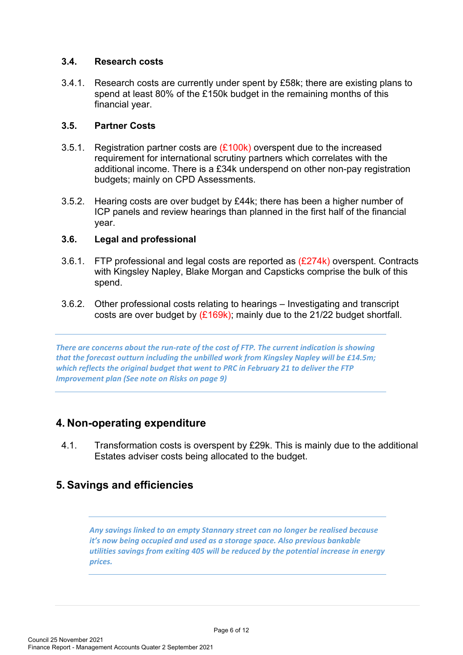#### **3.4. Research costs**

3.4.1. Research costs are currently under spent by £58k; there are existing plans to spend at least 80% of the £150k budget in the remaining months of this financial year.

#### **3.5. Partner Costs**

- 3.5.1. Registration partner costs are  $(E100k)$  overspent due to the increased requirement for international scrutiny partners which correlates with the additional income. There is a £34k underspend on other non-pay registration budgets; mainly on CPD Assessments.
- 3.5.2. Hearing costs are over budget by £44k; there has been a higher number of ICP panels and review hearings than planned in the first half of the financial year.

### **3.6. Legal and professional**

- 3.6.1. FTP professional and legal costs are reported as  $(E274k)$  overspent. Contracts with Kingsley Napley, Blake Morgan and Capsticks comprise the bulk of this spend.
- 3.6.2. Other professional costs relating to hearings Investigating and transcript costs are over budget by  $(E169k)$ ; mainly due to the 21/22 budget shortfall.

*There are concerns about the run-rate of the cost of FTP. The current indication is showing that the forecast outturn including the unbilled work from Kingsley Napley will be £14.5m; which reflects the original budget that went to PRC in February 21 to deliver the FTP Improvement plan (See note on Risks on page 9)*

## **4. Non-operating expenditure**

4.1. Transformation costs is overspent by £29k. This is mainly due to the additional Estates adviser costs being allocated to the budget.

## **5. Savings and efficiencies**

*Any savings linked to an empty Stannary street can no longer be realised because it's now being occupied and used as a storage space. Also previous bankable utilities savings from exiting 405 will be reduced by the potential increase in energy prices.*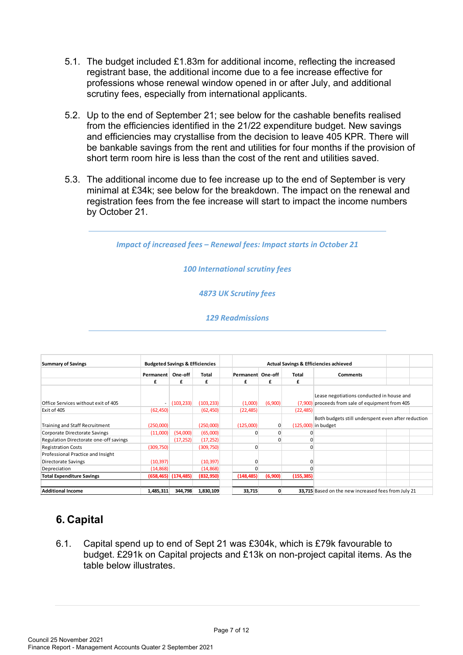- 5.1. The budget included £1.83m for additional income, reflecting the increased registrant base, the additional income due to a fee increase effective for professions whose renewal window opened in or after July, and additional scrutiny fees, especially from international applicants.
- 5.2. Up to the end of September 21; see below for the cashable benefits realised from the efficiencies identified in the 21/22 expenditure budget. New savings and efficiencies may crystallise from the decision to leave 405 KPR. There will be bankable savings from the rent and utilities for four months if the provision of short term room hire is less than the cost of the rent and utilities saved.
- 5.3. The additional income due to fee increase up to the end of September is very minimal at £34k; see below for the breakdown. The impact on the renewal and registration fees from the fee increase will start to impact the income numbers by October 21.

*Impact of increased fees – Renewal fees: Impact starts in October 21* 

*100 International scrutiny fees*

*4873 UK Scrutiny fees*

*129 Readmissions*

| <b>Summary of Savings</b>              | <b>Budgeted Savings &amp; Efficiencies</b> |                           |            | Actual Savings & Efficiencies achieved |         |              |                                                                                       |  |  |
|----------------------------------------|--------------------------------------------|---------------------------|------------|----------------------------------------|---------|--------------|---------------------------------------------------------------------------------------|--|--|
|                                        | Permanent                                  | One-off                   | Total      | Permanent One-off                      |         | <b>Total</b> | <b>Comments</b>                                                                       |  |  |
|                                        | £                                          | £                         | £          | £                                      | £       | £            |                                                                                       |  |  |
| Office Services without exit of 405    |                                            | (103, 233)                | (103, 233) | (1,000)                                | (6,900) | (7,900)      | Lease negotiations conducted in house and<br>proceeds from sale of equipment from 405 |  |  |
| Exit of 405                            | (62, 450)                                  |                           | (62, 450)  | (22, 485)                              |         | (22, 485)    |                                                                                       |  |  |
| Training and Staff Recruitment         | (250,000)                                  |                           | (250,000)  | (125,000)                              | 0       |              | Both budgets still underspent even after reduction<br>(125,000) in budget             |  |  |
| Corporate Directorate Savings          | (11,000)                                   | (54,000)                  | (65,000)   |                                        |         |              |                                                                                       |  |  |
| Regulation Directorate one-off savings |                                            | (17, 252)                 | (17, 252)  |                                        |         |              |                                                                                       |  |  |
| <b>Registration Costs</b>              | (309, 750)                                 |                           | (309, 750) | $\Omega$                               |         |              |                                                                                       |  |  |
| Professional Practice and Insight      |                                            |                           |            |                                        |         |              |                                                                                       |  |  |
| Directorate Savings                    | (10, 397)                                  |                           | (10, 397)  |                                        |         |              |                                                                                       |  |  |
| Depreciation                           | (14, 868)                                  |                           | (14, 868)  |                                        |         |              |                                                                                       |  |  |
| <b>Total Expenditure Savings</b>       |                                            | $(658, 465)$ $(174, 485)$ | (832,950)  | (148, 485)                             | (6,900) | (155, 385)   |                                                                                       |  |  |
| <b>Additional Income</b>               | 1,485,311                                  | 344.798                   | 1,830,109  | 33.715                                 | 0       |              | 33,715 Based on the new increased fees from July 21                                   |  |  |

## **6. Capital**

6.1. Capital spend up to end of Sept 21 was £304k, which is £79k favourable to budget. £291k on Capital projects and £13k on non-project capital items. As the table below illustrates.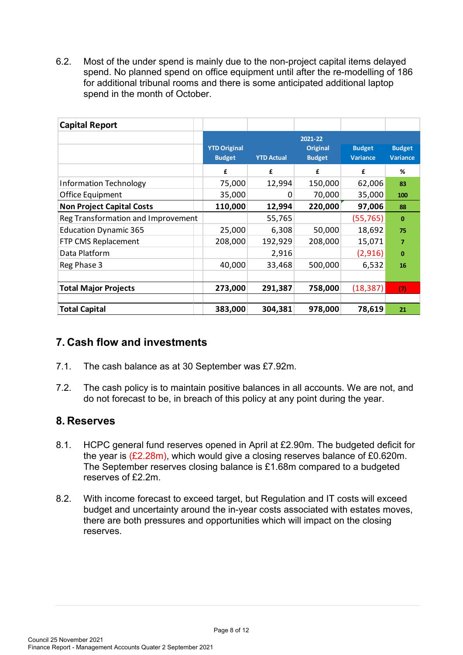6.2. Most of the under spend is mainly due to the non-project capital items delayed spend. No planned spend on office equipment until after the re-modelling of 186 for additional tribunal rooms and there is some anticipated additional laptop spend in the month of October.

| <b>Capital Report</b>              |                                      |                   |                                             |                                  |                                  |
|------------------------------------|--------------------------------------|-------------------|---------------------------------------------|----------------------------------|----------------------------------|
|                                    | <b>YTD Original</b><br><b>Budget</b> | <b>YTD Actual</b> | 2021-22<br><b>Original</b><br><b>Budget</b> | <b>Budget</b><br><b>Variance</b> | <b>Budget</b><br><b>Variance</b> |
|                                    | £                                    | £                 | £                                           | £                                | %                                |
| <b>Information Technology</b>      | 75,000                               | 12,994            | 150,000                                     | 62,006                           | 83                               |
| Office Equipment                   | 35,000                               | 0                 | 70,000                                      | 35,000                           | 100                              |
| <b>Non Project Capital Costs</b>   | 110,000                              | 12,994            | 220,000                                     | 97,006                           | 88                               |
| Reg Transformation and Improvement |                                      | 55,765            |                                             | (55, 765)                        | $\bf{0}$                         |
| <b>Education Dynamic 365</b>       | 25,000                               | 6,308             | 50,000                                      | 18,692                           | 75                               |
| FTP CMS Replacement                | 208,000                              | 192,929           | 208,000                                     | 15,071                           | 7                                |
| Data Platform                      |                                      | 2,916             |                                             | (2,916)                          | $\bf{0}$                         |
| Reg Phase 3                        | 40,000                               | 33,468            | 500,000                                     | 6,532                            | 16                               |
|                                    |                                      |                   |                                             |                                  |                                  |
| <b>Total Major Projects</b>        | 273,000                              | 291,387           | 758,000                                     | (18, 387)                        | (7)                              |
| <b>Total Capital</b>               | 383,000                              | 304,381           | 978,000                                     | 78,619                           | 21                               |

## **7. Cash flow and investments**

- 7.1. The cash balance as at 30 September was £7.92m.
- 7.2. The cash policy is to maintain positive balances in all accounts. We are not, and do not forecast to be, in breach of this policy at any point during the year.

## **8. Reserves**

- 8.1. HCPC general fund reserves opened in April at £2.90m. The budgeted deficit for the year is  $(E2.28m)$ , which would give a closing reserves balance of £0.620m. The September reserves closing balance is £1.68m compared to a budgeted reserves of £2.2m.
- 8.2. With income forecast to exceed target, but Regulation and IT costs will exceed budget and uncertainty around the in-year costs associated with estates moves, there are both pressures and opportunities which will impact on the closing reserves.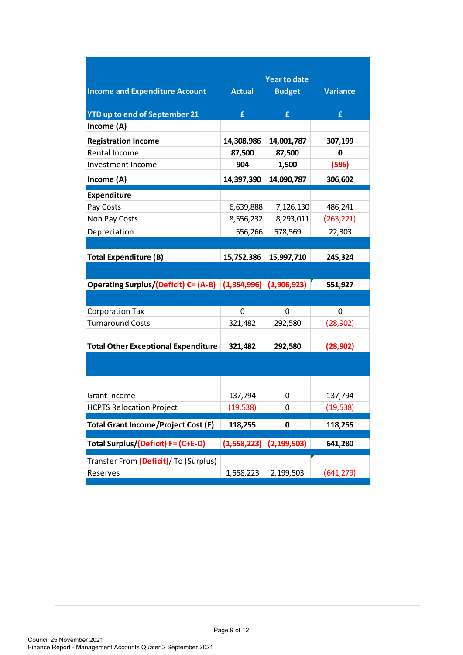|                                                              |               | <b>Year to date</b> |                 |  |
|--------------------------------------------------------------|---------------|---------------------|-----------------|--|
| <b>Income and Expenditure Account</b>                        | <b>Actual</b> | <b>Budget</b>       | <b>Variance</b> |  |
| <b>YTD up to end of September 21</b>                         | £             | £                   | £               |  |
| Income (A)                                                   |               |                     |                 |  |
| <b>Registration Income</b>                                   | 14,308,986    | 14,001,787          | 307,199         |  |
| <b>Rental Income</b>                                         | 87,500        | 87,500              | 0               |  |
| Investment Income                                            | 904           | 1,500               | (596)           |  |
| Income (A)                                                   | 14,397,390    | 14,090,787          | 306,602         |  |
| <b>Expenditure</b>                                           |               |                     |                 |  |
| Pay Costs                                                    | 6,639,888     | 7,126,130           | 486,241         |  |
| Non Pay Costs                                                | 8,556,232     | 8,293,011           | (263, 221)      |  |
| Depreciation                                                 | 556,266       | 578,569             | 22,303          |  |
|                                                              |               |                     |                 |  |
| <b>Total Expenditure (B)</b>                                 | 15,752,386    | 15,997,710          | 245,324         |  |
|                                                              |               |                     |                 |  |
| Operating Surplus/(Deficit) C= (A-B) (1,354,996) (1,906,923) |               |                     | 551,927         |  |
|                                                              |               |                     |                 |  |
| <b>Corporation Tax</b>                                       | 0             | 0                   | 0               |  |
| <b>Turnaround Costs</b>                                      | 321,482       | 292,580             | (28, 902)       |  |
|                                                              |               |                     |                 |  |
| <b>Total Other Exceptional Expenditure</b>                   | 321,482       | 292,580             | (28, 902)       |  |
|                                                              |               |                     |                 |  |
|                                                              |               |                     |                 |  |
| <b>Grant Income</b>                                          | 137,794       | 0                   | 137,794         |  |
| <b>HCPTS Relocation Project</b>                              | (19, 538)     | 0                   | (19, 538)       |  |
|                                                              |               |                     |                 |  |
| <b>Total Grant Income/Project Cost (E)</b>                   | 118,255       | 0                   | 118,255         |  |
| Total Surplus/(Deficit) F= (C+E-D)                           | (1,558,223)   | (2, 199, 503)       | 641,280         |  |
| Transfer From (Deficit)/ To (Surplus)                        |               |                     |                 |  |
| Reserves                                                     | 1,558,223     | 2,199,503           | (641, 279)      |  |
|                                                              |               |                     |                 |  |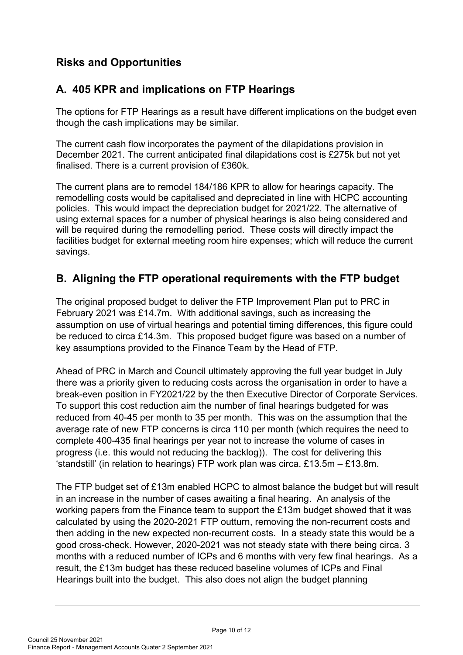## **Risks and Opportunities**

## **A. 405 KPR and implications on FTP Hearings**

The options for FTP Hearings as a result have different implications on the budget even though the cash implications may be similar.

The current cash flow incorporates the payment of the dilapidations provision in December 2021. The current anticipated final dilapidations cost is £275k but not yet finalised. There is a current provision of £360k.

The current plans are to remodel 184/186 KPR to allow for hearings capacity. The remodelling costs would be capitalised and depreciated in line with HCPC accounting policies. This would impact the depreciation budget for 2021/22. The alternative of using external spaces for a number of physical hearings is also being considered and will be required during the remodelling period. These costs will directly impact the facilities budget for external meeting room hire expenses; which will reduce the current savings.

## **B. Aligning the FTP operational requirements with the FTP budget**

The original proposed budget to deliver the FTP Improvement Plan put to PRC in February 2021 was £14.7m. With additional savings, such as increasing the assumption on use of virtual hearings and potential timing differences, this figure could be reduced to circa £14.3m. This proposed budget figure was based on a number of key assumptions provided to the Finance Team by the Head of FTP.

Ahead of PRC in March and Council ultimately approving the full year budget in July there was a priority given to reducing costs across the organisation in order to have a break-even position in FY2021/22 by the then Executive Director of Corporate Services. To support this cost reduction aim the number of final hearings budgeted for was reduced from 40-45 per month to 35 per month. This was on the assumption that the average rate of new FTP concerns is circa 110 per month (which requires the need to complete 400-435 final hearings per year not to increase the volume of cases in progress (i.e. this would not reducing the backlog)). The cost for delivering this 'standstill' (in relation to hearings) FTP work plan was circa. £13.5m – £13.8m.

The FTP budget set of £13m enabled HCPC to almost balance the budget but will result in an increase in the number of cases awaiting a final hearing. An analysis of the working papers from the Finance team to support the £13m budget showed that it was calculated by using the 2020-2021 FTP outturn, removing the non-recurrent costs and then adding in the new expected non-recurrent costs. In a steady state this would be a good cross-check. However, 2020-2021 was not steady state with there being circa. 3 months with a reduced number of ICPs and 6 months with very few final hearings. As a result, the £13m budget has these reduced baseline volumes of ICPs and Final Hearings built into the budget. This also does not align the budget planning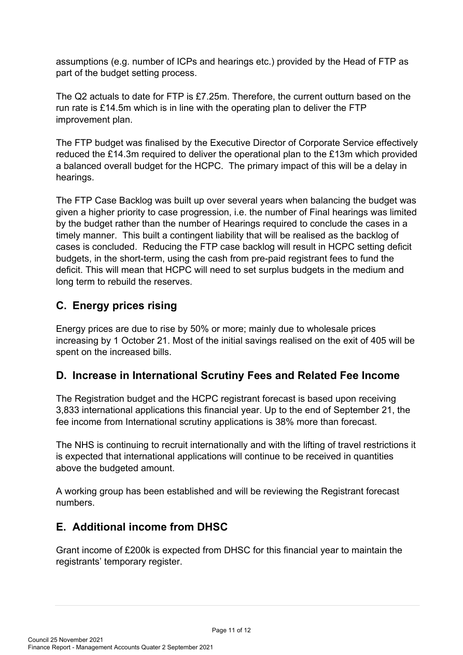assumptions (e.g. number of ICPs and hearings etc.) provided by the Head of FTP as part of the budget setting process.

The Q2 actuals to date for FTP is £7.25m. Therefore, the current outturn based on the run rate is £14.5m which is in line with the operating plan to deliver the FTP improvement plan.

The FTP budget was finalised by the Executive Director of Corporate Service effectively reduced the £14.3m required to deliver the operational plan to the £13m which provided a balanced overall budget for the HCPC. The primary impact of this will be a delay in hearings.

The FTP Case Backlog was built up over several years when balancing the budget was given a higher priority to case progression, i.e. the number of Final hearings was limited by the budget rather than the number of Hearings required to conclude the cases in a timely manner. This built a contingent liability that will be realised as the backlog of cases is concluded. Reducing the FTP case backlog will result in HCPC setting deficit budgets, in the short-term, using the cash from pre-paid registrant fees to fund the deficit. This will mean that HCPC will need to set surplus budgets in the medium and long term to rebuild the reserves.

## **C. Energy prices rising**

Energy prices are due to rise by 50% or more; mainly due to wholesale prices increasing by 1 October 21. Most of the initial savings realised on the exit of 405 will be spent on the increased bills.

## **D. Increase in International Scrutiny Fees and Related Fee Income**

The Registration budget and the HCPC registrant forecast is based upon receiving 3,833 international applications this financial year. Up to the end of September 21, the fee income from International scrutiny applications is 38% more than forecast.

The NHS is continuing to recruit internationally and with the lifting of travel restrictions it is expected that international applications will continue to be received in quantities above the budgeted amount.

A working group has been established and will be reviewing the Registrant forecast numbers.

## **E. Additional income from DHSC**

Grant income of £200k is expected from DHSC for this financial year to maintain the registrants' temporary register.